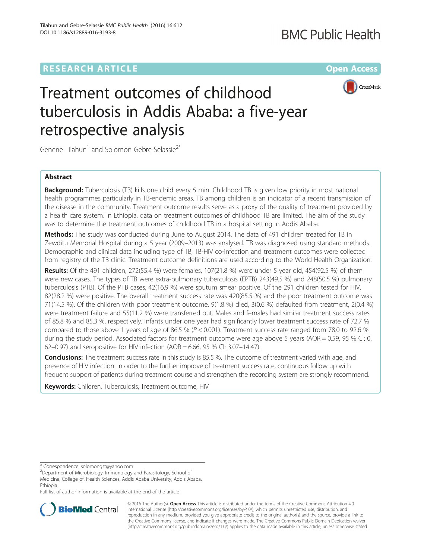## **RESEARCH ARTICLE Example 2014 12:30 The Company Access** (RESEARCH ARTICLE



# Treatment outcomes of childhood tuberculosis in Addis Ababa: a five-year retrospective analysis

Genene Tilahun<sup>1</sup> and Solomon Gebre-Selassie<sup>2\*</sup>

## Abstract

**Background:** Tuberculosis (TB) kills one child every 5 min. Childhood TB is given low priority in most national health programmes particularly in TB-endemic areas. TB among children is an indicator of a recent transmission of the disease in the community. Treatment outcome results serve as a proxy of the quality of treatment provided by a health care system. In Ethiopia, data on treatment outcomes of childhood TB are limited. The aim of the study was to determine the treatment outcomes of childhood TB in a hospital setting in Addis Ababa.

Methods: The study was conducted during June to August 2014. The data of 491 children treated for TB in Zewditu Memorial Hospital during a 5 year (2009–2013) was analysed. TB was diagnosed using standard methods. Demographic and clinical data including type of TB, TB-HIV co-infection and treatment outcomes were collected from registry of the TB clinic. Treatment outcome definitions are used according to the World Health Organization.

Results: Of the 491 children, 272(55.4 %) were females, 107(21.8 %) were under 5 year old, 454(92.5 %) of them were new cases. The types of TB were extra-pulmonary tuberculosis (EPTB) 243(49.5 %) and 248(50.5 %) pulmonary tuberculosis (PTB). Of the PTB cases, 42(16.9 %) were sputum smear positive. Of the 291 children tested for HIV, 82(28.2 %) were positive. The overall treatment success rate was 420(85.5 %) and the poor treatment outcome was 71(14.5 %). Of the children with poor treatment outcome, 9(1.8 %) died, 3(0.6 %) defaulted from treatment, 2(0.4 %) were treatment failure and 55(11.2 %) were transferred out. Males and females had similar treatment success rates of 85.8 % and 85.3 %, respectively. Infants under one year had significantly lower treatment success rate of 72.7 % compared to those above 1 years of age of 86.5 % ( $P < 0.001$ ). Treatment success rate ranged from 78.0 to 92.6 % during the study period. Associated factors for treatment outcome were age above 5 years (AOR = 0.59, 95 % CI: 0. 62–0.97) and seropositive for HIV infection (AOR = 6.66, 95 % CI: 3.07–14.47).

**Conclusions:** The treatment success rate in this study is 85.5 %. The outcome of treatment varied with age, and presence of HIV infection. In order to the further improve of treatment success rate, continuous follow up with frequent support of patients during treatment course and strengthen the recording system are strongly recommend.

Keywords: Children, Tuberculosis, Treatment outcome, HIV

<sup>2</sup>Department of Microbiology, Immunology and Parasitology, School of Medicine, College of, Health Sciences, Addis Ababa University, Addis Ababa, Ethiopia

Full list of author information is available at the end of the article



© 2016 The Author(s). Open Access This article is distributed under the terms of the Creative Commons Attribution 4.0 International License [\(http://creativecommons.org/licenses/by/4.0/](http://creativecommons.org/licenses/by/4.0/)), which permits unrestricted use, distribution, and reproduction in any medium, provided you give appropriate credit to the original author(s) and the source, provide a link to the Creative Commons license, and indicate if changes were made. The Creative Commons Public Domain Dedication waiver [\(http://creativecommons.org/publicdomain/zero/1.0/](http://creativecommons.org/publicdomain/zero/1.0/)) applies to the data made available in this article, unless otherwise stated.

<sup>\*</sup> Correspondence: [solomongst@yahoo.com](mailto:solomongst@yahoo.com) <sup>2</sup>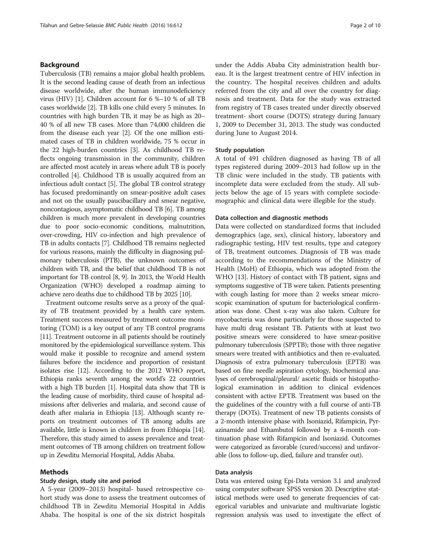## Background

Tuberculosis (TB) remains a major global health problem. It is the second leading cause of death from an infectious disease worldwide, after the human immunodeficiency virus (HIV) [[1](#page-8-0)]. Children account for 6 %–10 % of all TB cases worldwide [\[2](#page-8-0)]. TB kills one child every 5 minutes. In countries with high burden TB, it may be as high as 20– 40 % of all new TB cases. More than 74,000 children die from the disease each year [\[2\]](#page-8-0). Of the one million estimated cases of TB in children worldwide, 75 % occur in the 22 high-burden countries [\[3](#page-8-0)]. As childhood TB reflects ongoing transmission in the community, children are affected most acutely in areas where adult TB is poorly controlled [\[4\]](#page-8-0). Childhood TB is usually acquired from an infectious adult contact [[5\]](#page-8-0). The global TB control strategy has focused predominantly on smear-positive adult cases and not on the usually paucibacillary and smear negative, noncontagious, asymptomatic childhood TB [\[6\]](#page-8-0). TB among children is much more prevalent in developing countries due to poor socio-economic conditions, malnutrition, over-crowding, HIV co-infection and high prevalence of TB in adults contacts [\[7\]](#page-8-0). Childhood TB remains neglected for various reasons, mainly the difficulty in diagnosing pulmonary tuberculosis (PTB), the unknown outcomes of children with TB, and the belief that childhood TB is not important for TB control [[8](#page-8-0), [9\]](#page-8-0). In 2013, the World Health Organization (WHO) developed a roadmap aiming to achieve zero deaths due to childhood TB by 2025 [\[10\]](#page-8-0).

Treatment outcome results serve as a proxy of the quality of TB treatment provided by a health care system. Treatment success measured by treatment outcome monitoring (TOM) is a key output of any TB control programs [[11](#page-8-0)]. Treatment outcome in all patients should be routinely monitored by the epidemiological surveillance system. This would make it possible to recognize and amend system failures before the incidence and proportion of resistant isolates rise [[12](#page-8-0)]. According to the 2012 WHO report, Ethiopia ranks seventh among the world's 22 countries with a high TB burden [[1](#page-8-0)]. Hospital data show that TB is the leading cause of morbidity, third cause of hospital admissions after deliveries and malaria, and second cause of death after malaria in Ethiopia [\[13](#page-8-0)]. Although scanty reports on treatment outcomes of TB among adults are available, little is known in children in from Ethiopia [[14](#page-8-0)]. Therefore, this study aimed to assess prevalence and treatment outcomes of TB among children on treatment follow up in Zewditu Memorial Hospital, Addis Ababa.

#### Methods

## Study design, study site and period

A 5-year (2009–2013) hospital- based retrospective cohort study was done to assess the treatment outcomes of childhood TB in Zewditu Memorial Hospital in Addis Ababa. The hospital is one of the six district hospitals under the Addis Ababa City administration health bureau. It is the largest treatment centre of HIV infection in the country. The hospital receives children and adults referred from the city and all over the country for diagnosis and treatment. Data for the study was extracted from registry of TB cases treated under directly observed treatment- short course (DOTS) strategy during January 1, 2009 to December 31, 2013. The study was conducted during June to August 2014.

### Study population

A total of 491 children diagnosed as having TB of all types registered during 2009–2013 had follow up in the TB clinic were included in the study. TB patients with incomplete data were excluded from the study. All subjects below the age of 15 years with complete sociodemographic and clinical data were illegible for the study.

#### Data collection and diagnostic methods

Data were collected on standardized forms that included demographics (age, sex), clinical history, laboratory and radiographic testing, HIV test results, type and category of TB, treatment outcomes. Diagnosis of TB was made according to the recommendations of the Ministry of Health (MoH) of Ethiopia, which was adopted from the WHO [[13\]](#page-8-0). History of contact with TB patient, signs and symptoms suggestive of TB were taken. Patients presenting with cough lasting for more than 2 weeks smear microscopic examination of sputum for bacteriological confirmation was done. Chest x-ray was also taken. Culture for mycobacteria was done particularly for those suspected to have multi drug resistant TB. Patients with at least two positive smears were considered to have smear-positive pulmonary tuberculosis (SPPTB); those with three negative smears were treated with antibiotics and then re-evaluated. Diagnosis of extra pulmonary tuberculosis (EPTB) was based on fine needle aspiration cytology, biochemical analyses of cerebrospinal/pleural/ ascetic fluids or histopathological examination in addition to clinical evidences consistent with active EPTB. Treatment was based on the the guidelines of the country with a full course of anti-TB therapy (DOTs). Treatment of new TB patients consists of a 2-month intensive phase with Isoniazid, Rifampicin, Pyrazinamide and Ethambutol followed by a 4-month continuation phase with Rifampicin and Isoniazid. Outcomes were categorized as favorable (cured/success) and unfavorable (loss to follow-up, died, failure and transfer out).

## Data analysis

Data was entered using Epi-Data version 3.1 and analyzed using computer software SPSS version 20. Descriptive statistical methods were used to generate frequencies of categorical variables and univariate and multivariate logistic regression analysis was used to investigate the effect of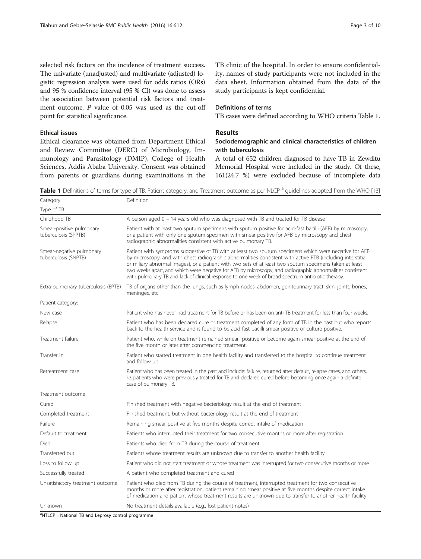selected risk factors on the incidence of treatment success. The univariate (unadjusted) and multivariate (adjusted) logistic regression analysis were used for odds ratios (ORs) and 95 % confidence interval (95 % CI) was done to assess the association between potential risk factors and treatment outcome. P value of 0.05 was used as the cut-off point for statistical significance.

## Ethical issues

Ethical clearance was obtained from Department Ethical and Review Committee (DERC) of Microbiology, Immunology and Parasitology (DMIP), College of Health Sciences, Addis Ababa University. Consent was obtained from parents or guardians during examinations in the TB clinic of the hospital. In order to ensure confidentiality, names of study participants were not included in the data sheet. Information obtained from the data of the study participants is kept confidential.

## Definitions of terms

TB cases were defined according to WHO criteria Table 1.

## Results

## Sociodemographic and clinical characteristics of children with tuberculosis

A total of 652 children diagnosed to have TB in Zewditu Memorial Hospital were included in the study. Of these, 161(24.7 %) were excluded because of incomplete data

Table 1 Definitions of terms for type of TB, Patient category, and Treatment outcome as per NLCP <sup>a</sup> guidelines adopted from the WHO [\[13\]](#page-8-0)

| Category                                         | Definition                                                                                                                                                                                                                                                                                                                                                                                                                                                                                                                                        |
|--------------------------------------------------|---------------------------------------------------------------------------------------------------------------------------------------------------------------------------------------------------------------------------------------------------------------------------------------------------------------------------------------------------------------------------------------------------------------------------------------------------------------------------------------------------------------------------------------------------|
| Type of TB                                       |                                                                                                                                                                                                                                                                                                                                                                                                                                                                                                                                                   |
| Childhood TB                                     | A person aged 0 – 14 years old who was diagnosed with TB and treated for TB disease                                                                                                                                                                                                                                                                                                                                                                                                                                                               |
| Smear-positive pulmonary<br>tuberculosis (SPPTB) | Patient with at least two sputum specimens with sputum positive for acid-fast bacilli (AFB) by microscopy,<br>or a patient with only one sputum specimen with smear positive for AFB by microscopy and chest<br>radiographic abnormalities consistent with active pulmonary TB.                                                                                                                                                                                                                                                                   |
| Smear-negative pulmonary<br>tuberculosis (SNPTB) | Patient with symptoms suggestive of TB with at least two sputum specimens which were negative for AFB<br>by microscopy, and with chest radiographic abnormalities consistent with active PTB (including interstitial<br>or miliary abnormal images), or a patient with two sets of at least two sputum specimens taken at least<br>two weeks apart, and which were negative for AFB by microscopy, and radiographic abnormalities consistent<br>with pulmonary TB and lack of clinical response to one week of broad spectrum antibiotic therapy. |
| Extra-pulmonary tuberculosis (EPTB)              | TB of organs other than the lungs, such as lymph nodes, abdomen, genitourinary tract, skin, joints, bones,<br>meninges, etc.                                                                                                                                                                                                                                                                                                                                                                                                                      |
| Patient category:                                |                                                                                                                                                                                                                                                                                                                                                                                                                                                                                                                                                   |
| New case                                         | Patient who has never had treatment for TB before or has been on anti-TB treatment for less than four weeks.                                                                                                                                                                                                                                                                                                                                                                                                                                      |
| Relapse                                          | Patient who has been declared cure or treatment completed of any form of TB in the past but who reports<br>back to the health service and is found to be acid fast bacilli smear positive or culture positive.                                                                                                                                                                                                                                                                                                                                    |
| Treatment failure                                | Patient who, while on treatment remained smear- positive or become again smear-positive at the end of<br>the five month or later after commencing treatment.                                                                                                                                                                                                                                                                                                                                                                                      |
| Transfer in                                      | Patient who started treatment in one health facility and transferred to the hospital to continue treatment<br>and follow up.                                                                                                                                                                                                                                                                                                                                                                                                                      |
| Retreatment case                                 | Patient who has been treated in the past and include: failure, returned after default, relapse cases, and others,<br>i.e. patients who were previously treated for TB and declared cured before becoming once again a definite<br>case of pulmonary TB.                                                                                                                                                                                                                                                                                           |
| Treatment outcome                                |                                                                                                                                                                                                                                                                                                                                                                                                                                                                                                                                                   |
| Cured                                            | Finished treatment with negative bacteriology result at the end of treatment                                                                                                                                                                                                                                                                                                                                                                                                                                                                      |
| Completed treatment                              | Finished treatment, but without bacteriology result at the end of treatment                                                                                                                                                                                                                                                                                                                                                                                                                                                                       |
| Failure                                          | Remaining smear positive at five months despite correct intake of medication                                                                                                                                                                                                                                                                                                                                                                                                                                                                      |
| Default to treatment                             | Patients who interrupted their treatment for two consecutive months or more after registration                                                                                                                                                                                                                                                                                                                                                                                                                                                    |
| Died                                             | Patients who died from TB during the course of treatment                                                                                                                                                                                                                                                                                                                                                                                                                                                                                          |
| Transferred out                                  | Patients whose treatment results are unknown due to transfer to another health facility                                                                                                                                                                                                                                                                                                                                                                                                                                                           |
| Loss to follow up                                | Patient who did not start treatment or whose treatment was interrupted for two consecutive months or more                                                                                                                                                                                                                                                                                                                                                                                                                                         |
| Successfully treated                             | A patient who completed treatment and cured                                                                                                                                                                                                                                                                                                                                                                                                                                                                                                       |
| Unsatisfactory treatment outcome                 | Patient who died from TB during the course of treatment, interrupted treatment for two consecutive<br>months or more after registration, patient remaining smear positive at five months despite correct intake<br>of medication and patient whose treatment results are unknown due to transfer to another health facility                                                                                                                                                                                                                       |
| Unknown                                          | No treatment details available (e.g., lost patient notes)                                                                                                                                                                                                                                                                                                                                                                                                                                                                                         |

<sup>a</sup>NTLCP = National TB and Leprosy control programme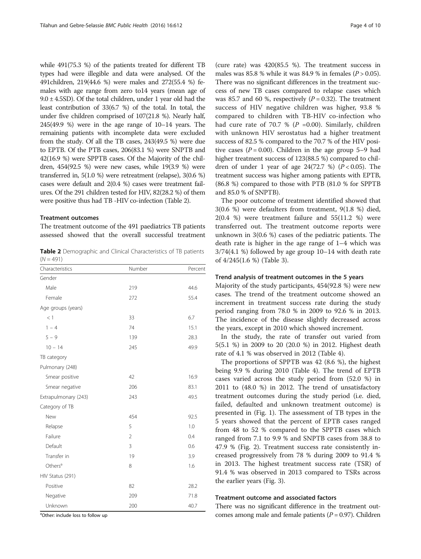while 491(75.3 %) of the patients treated for different TB types had were illegible and data were analysed. Of the 491children, 219(44.6 %) were males and 272(55.4 %) females with age range from zero to14 years (mean age of  $9.0 \pm 4.5$ SD). Of the total children, under 1 year old had the least contribution of 33(6.7 %) of the total. In total, the under five children comprised of 107(21.8 %). Nearly half, 245(49.9 %) were in the age range of 10–14 years. The remaining patients with incomplete data were excluded from the study. Of all the TB cases, 243(49.5 %) were due to EPTB. Of the PTB cases, 206(83.1 %) were SNPTB and 42(16.9 %) were SPPTB cases. Of the Majority of the children, 454(92.5 %) were new cases, while 19(3.9 %) were transferred in, 5(1.0 %) were retreatment (relapse), 3(0.6 %) cases were default and 2(0.4 %) cases were treatment failures. Of the 291 children tested for HIV, 82(28.2 %) of them were positive thus had TB -HIV co-infection (Table 2).

#### Treatment outcomes

The treatment outcome of the 491 paediatrics TB patients assessed showed that the overall successful treatment

Table 2 Demographic and Clinical Characteristics of TB patients  $(N = 491)$ 

| Characteristics      | Number         | Percent |
|----------------------|----------------|---------|
| Gender               |                |         |
| Male                 | 219            | 44.6    |
| Female               | 272            | 55.4    |
| Age groups (years)   |                |         |
| <1                   | 33             | 6.7     |
| $1 - 4$              | 74             | 15.1    |
| $5 - 9$              | 139            | 28.3    |
| $10 - 14$            | 245            | 49.9    |
| TB category          |                |         |
| Pulmonary (248)      |                |         |
| Smear positive       | 42             | 16.9    |
| Smear negative       | 206            | 83.1    |
| Extrapulmonary (243) | 243            | 49.5    |
| Category of TB       |                |         |
| New                  | 454            | 92.5    |
| Relapse              | 5              | 1.0     |
| Failure              | $\overline{2}$ | 0.4     |
| Default              | 3              | 0.6     |
| Transfer in          | 19             | 3.9     |
| Others <sup>a</sup>  | 8              | 1.6     |
| HIV Status (291)     |                |         |
| Positive             | 82             | 28.2    |
| Negative             | 209            | 71.8    |
| Unknown              | 200            | 40.7    |

<sup>a</sup>Other: include loss to follow up

(cure rate) was 420(85.5 %). The treatment success in males was 85.8 % while it was 84.9 % in females ( $P > 0.05$ ). There was no significant differences in the treatment success of new TB cases compared to relapse cases which was 85.7 and 60 %, respectively  $(P = 0.32)$ . The treatment success of HIV negative children was higher, 93.8 % compared to children with TB-HIV co-infection who had cure rate of 70.7 % ( $P = 0.00$ ). Similarly, children with unknown HIV serostatus had a higher treatment success of 82.5 % compared to the 70.7 % of the HIV positive cases ( $P = 0.00$ ). Children in the age group 5–9 had higher treatment success of 123(88.5 %) compared to children of under 1 year of age  $24(72.7 %)$   $(P < 0.05)$ . The treatment success was higher among patients with EPTB, (86.8 %) compared to those with PTB (81.0 % for SPPTB and 85.0 % of SNPTB).

The poor outcome of treatment identified showed that 3(0.6 %) were defaulters from treatment, 9(1.8 %) died, 2(0.4 %) were treatment failure and 55(11.2 %) were transferred out. The treatment outcome reports were unknown in 3(0.6 %) cases of the pediatric patients. The death rate is higher in the age range of 1–4 which was 3/74(4.1 %) followed by age group 10–14 with death rate of 4/245(1.6 %) (Table [3](#page-4-0)).

#### Trend analysis of treatment outcomes in the 5 years

Majority of the study participants, 454(92.8 %) were new cases. The trend of the treatment outcome showed an increment in treatment success rate during the study period ranging from 78.0 % in 2009 to 92.6 % in 2013. The incidence of the disease slightly decreased across the years, except in 2010 which showed increment.

In the study, the rate of transfer out varied from 5(5.1 %) in 2009 to 20 (20.0 %) in 2012. Highest death rate of 4.1 % was observed in 2012 (Table [4](#page-4-0)).

The proportions of SPPTB was 42 (8.6 %), the highest being 9.9 % during 2010 (Table [4](#page-4-0)). The trend of EPTB cases varied across the study period from (52.0 %) in 2011 to (48.0 %) in 2012. The trend of unsatisfactory treatment outcomes during the study period (i.e. died, failed, defaulted and unknown treatment outcome) is presented in (Fig. [1](#page-5-0)). The assessment of TB types in the 5 years showed that the percent of EPTB cases ranged from 48 to 52 % compared to the SPPTB cases which ranged from 7.1 to 9.9 % and SNPTB cases from 38.8 to 47.9 % (Fig. [2\)](#page-5-0). Treatment success rate consistently increased progressively from 78 % during 2009 to 91.4 % in 2013. The highest treatment success rate (TSR) of 91.4 % was observed in 2013 compared to TSRs across the earlier years (Fig. [3](#page-6-0)).

## Treatment outcome and associated factors

There was no significant difference in the treatment outcomes among male and female patients  $(P = 0.97)$ . Children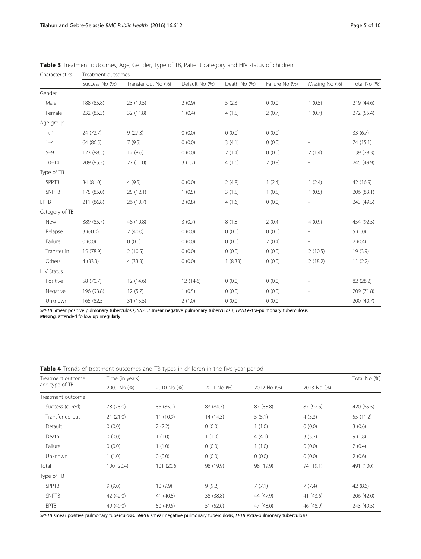| Characteristics   | Treatment outcomes |                     |                |              |                |                          |              |  |
|-------------------|--------------------|---------------------|----------------|--------------|----------------|--------------------------|--------------|--|
|                   | Success No (%)     | Transfer out No (%) | Default No (%) | Death No (%) | Failure No (%) | Missing No (%)           | Total No (%) |  |
| Gender            |                    |                     |                |              |                |                          |              |  |
| Male              | 188 (85.8)         | 23 (10.5)           | 2(0.9)         | 5(2.3)       | 0(0.0)         | 1(0.5)                   | 219 (44.6)   |  |
| Female            | 232 (85.3)         | 32 (11.8)           | 1(0.4)         | 4(1.5)       | 2(0.7)         | 1(0.7)                   | 272 (55.4)   |  |
| Age group         |                    |                     |                |              |                |                          |              |  |
| < 1               | 24 (72.7)          | 9(27.3)             | 0(0.0)         | 0(0.0)       | 0(0.0)         |                          | 33(6.7)      |  |
| $1 - 4$           | 64 (86.5)          | 7(9.5)              | 0(0.0)         | 3(4.1)       | 0(0.0)         |                          | 74 (15.1)    |  |
| $5 - 9$           | 123 (88.5)         | 12(8.6)             | 0(0.0)         | 2(1.4)       | 0(0.0)         | 2(1.4)                   | 139 (28.3)   |  |
| $10 - 14$         | 209 (85.3)         | 27 (11.0)           | 3(1.2)         | 4(1.6)       | 2(0.8)         |                          | 245 (49.9)   |  |
| Type of TB        |                    |                     |                |              |                |                          |              |  |
| <b>SPPTB</b>      | 34 (81.0)          | 4(9.5)              | 0(0.0)         | 2(4.8)       | 1(2.4)         | 1(2.4)                   | 42 (16.9)    |  |
| <b>SNPTB</b>      | 175 (85.0)         | 25(12.1)            | 1(0.5)         | 3(1.5)       | 1(0.5)         | 1(0.5)                   | 206 (83.1)   |  |
| <b>EPTB</b>       | 211 (86.8)         | 26 (10.7)           | 2(0.8)         | 4(1.6)       | 0(0.0)         |                          | 243 (49.5)   |  |
| Category of TB    |                    |                     |                |              |                |                          |              |  |
| New               | 389 (85.7)         | 48 (10.8)           | 3(0.7)         | 8(1.8)       | 2(0.4)         | 4(0.9)                   | 454 (92.5)   |  |
| Relapse           | 3(60.0)            | 2(40.0)             | 0(0.0)         | 0(0.0)       | 0(0.0)         |                          | 5(1.0)       |  |
| Failure           | (0.0)              | (0.0)               | 0(0.0)         | 0(0.0)       | 2(0.4)         | $\overline{\phantom{a}}$ | 2(0.4)       |  |
| Transfer in       | 15 (78.9)          | 2(10.5)             | 0(0.0)         | 0(0.0)       | 0(0.0)         | 2(10.5)                  | 19(3.9)      |  |
| Others            | 4(33.3)            | 4(33.3)             | 0(0.0)         | 1(8.33)      | 0(0.0)         | 2(18.2)                  | 11(2.2)      |  |
| <b>HIV Status</b> |                    |                     |                |              |                |                          |              |  |
| Positive          | 58 (70.7)          | 12 (14.6)           | 12(14.6)       | 0(0.0)       | 0(0.0)         |                          | 82 (28.2)    |  |
| Negative          | 196 (93.8)         | 12(5.7)             | 1(0.5)         | 0(0.0)       | 0(0.0)         |                          | 209 (71.8)   |  |
| Unknown           | 165 (82.5          | 31 (15.5)           | 2(1.0)         | 0(0.0)       | 0(0.0)         | $\overline{a}$           | 200 (40.7)   |  |

<span id="page-4-0"></span>Table 3 Treatment outcomes, Age, Gender, Type of TB, Patient category and HIV status of children

SPPTB Smear positive pulmonary tuberculosis, SNPTB smear negative pulmonary tuberculosis, EPTB extra-pulmonary tuberculosis Missing: attended follow up irregularly

Table 4 Trends of treatment outcomes and TB types in children in the five year period

| Treatment outcome<br>and type of TB | Time (in years) |             |             |             |             |            |
|-------------------------------------|-----------------|-------------|-------------|-------------|-------------|------------|
|                                     | 2009 No (%)     | 2010 No (%) | 2011 No (%) | 2012 No (%) | 2013 No (%) |            |
| Treatment outcome                   |                 |             |             |             |             |            |
| Success (cured)                     | 78 (78.0)       | 86 (85.1)   | 83 (84.7)   | 87 (88.8)   | 87 (92.6)   | 420 (85.5) |
| Transferred out                     | 21(21.0)        | 11(10.9)    | 14 (14.3)   | 5(5.1)      | 4(5.3)      | 55 (11.2)  |
| Default                             | 0(0.0)          | 2(2.2)      | 0(0.0)      | 1(1.0)      | 0(0.0)      | 3(0.6)     |
| Death                               | 0(0.0)          | 1(1.0)      | 1(1.0)      | 4(4.1)      | 3(3.2)      | 9(1.8)     |
| Failure                             | 0(0.0)          | 1(1.0)      | 0(0.0)      | 1(1.0)      | 0(0.0)      | 2(0.4)     |
| Unknown                             | 1(1.0)          | 0(0.0)      | 0(0.0)      | 0(0.0)      | 0(0.0)      | 2(0.6)     |
| Total                               | 100 (20.4)      | 101(20.6)   | 98 (19.9)   | 98 (19.9)   | 94 (19.1)   | 491 (100)  |
| Type of TB                          |                 |             |             |             |             |            |
| <b>SPPTB</b>                        | 9(9.0)          | 10(9.9)     | 9(9.2)      | 7(7.1)      | 7(7.4)      | 42 (8.6)   |
| <b>SNPTB</b>                        | 42 (42.0)       | 41 (40.6)   | 38 (38.8)   | 44 (47.9)   | 41 (43.6)   | 206 (42.0) |
| <b>EPTB</b>                         | 49 (49.0)       | 50 (49.5)   | 51 (52.0)   | 47 (48.0)   | 46 (48.9)   | 243 (49.5) |

SPPTB smear positive pulmonary tuberculosis, SNPTB smear negative pulmonary tuberculosis, EPTB extra-pulmonary tuberculosis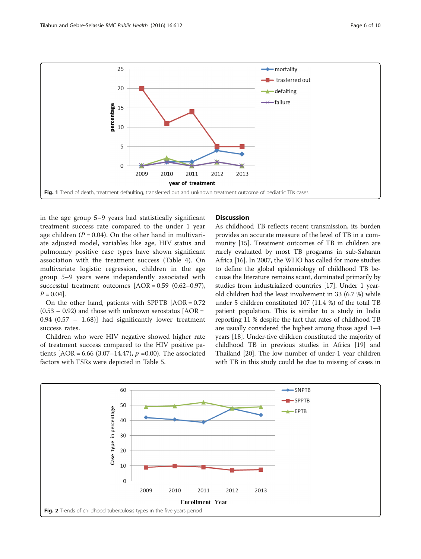<span id="page-5-0"></span>

in the age group 5–9 years had statistically significant treatment success rate compared to the under 1 year age children ( $P = 0.04$ ). On the other hand in multivariate adjusted model, variables like age, HIV status and pulmonary positive case types have shown significant association with the treatment success (Table [4\)](#page-4-0). On multivariate logistic regression, children in the age group 5–9 years were independently associated with successful treatment outcomes [AOR = 0.59 (0.62–0.97),  $P = 0.04$ .

On the other hand, patients with SPPTB [AOR = 0.72  $(0.53 - 0.92)$  and those with unknown serostatus [AOR = 0.94 (0.57 – 1.68)] had significantly lower treatment success rates.

Children who were HIV negative showed higher rate of treatment success compared to the HIV positive patients  $[AOR = 6.66 (3.07–14.47), p = 0.00)$ . The associated factors with TSRs were depicted in Table [5](#page-6-0).

## **Discussion**

As childhood TB reflects recent transmission, its burden provides an accurate measure of the level of TB in a community [\[15](#page-8-0)]. Treatment outcomes of TB in children are rarely evaluated by most TB programs in sub-Saharan Africa [[16\]](#page-8-0). In 2007, the WHO has called for more studies to define the global epidemiology of childhood TB because the literature remains scant, dominated primarily by studies from industrialized countries [[17](#page-8-0)]. Under 1 yearold children had the least involvement in 33 (6.7 %) while under 5 children constituted 107 (11.4 %) of the total TB patient population. This is similar to a study in India reporting 11 % despite the fact that rates of childhood TB are usually considered the highest among those aged 1–4 years [\[18\]](#page-8-0). Under-five children constituted the majority of childhood TB in previous studies in Africa [[19](#page-8-0)] and Thailand [\[20\]](#page-8-0). The low number of under-1 year children with TB in this study could be due to missing of cases in

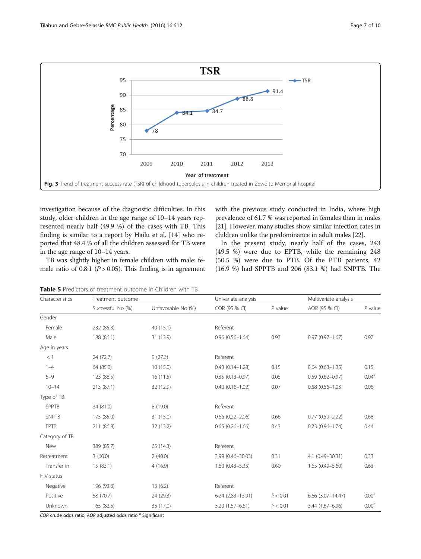<span id="page-6-0"></span>

investigation because of the diagnostic difficulties. In this study, older children in the age range of 10–14 years represented nearly half (49.9 %) of the cases with TB. This finding is similar to a report by Hailu et al. [\[14\]](#page-8-0) who reported that 48.4 % of all the children assessed for TB were in the age range of 10–14 years.

with the previous study conducted in India, where high prevalence of 61.7 % was reported in females than in males [[21](#page-8-0)]. However, many studies show similar infection rates in children unlike the predominance in adult males [\[22\]](#page-8-0).

TB was slightly higher in female children with male: female ratio of 0.8:1 ( $P > 0.05$ ). This finding is in agreement

In the present study, nearly half of the cases, 243 (49.5 %) were due to EPTB, while the remaining 248 (50.5 %) were due to PTB. Of the PTB patients, 42 (16.9 %) had SPPTB and 206 (83.1 %) had SNPTB. The

Table 5 Predictors of treatment outcome in Children with TB

| Characteristics | Treatment outcome |                    | Univariate analysis    |           | Multivariate analysis   |                   |
|-----------------|-------------------|--------------------|------------------------|-----------|-------------------------|-------------------|
|                 | Successful No (%) | Unfavorable No (%) | COR (95 % CI)          | $P$ value | AOR (95 % CI)           | $P$ value         |
| Gender          |                   |                    |                        |           |                         |                   |
| Female          | 232 (85.3)        | 40 (15.1)          | Referent               |           |                         |                   |
| Male            | 188 (86.1)        | 31 (13.9)          | $0.96(0.56 - 1.64)$    | 0.97      | $0.97(0.97 - 1.67)$     | 0.97              |
| Age in years    |                   |                    |                        |           |                         |                   |
| <1              | 24 (72.7)         | 9(27.3)            | Referent               |           |                         |                   |
| $1 - 4$         | 64 (85.0)         | 10(15.0)           | $0.43(0.14 - 1.28)$    | 0.15      | $0.64$ $(0.63 - 1.35)$  | 0.15              |
| $5 - 9$         | 123 (88.5)        | 16(11.5)           | $0.35(0.13 - 0.97)$    | 0.05      | $0.59(0.62 - 0.97)$     | 0.04 <sup>a</sup> |
| $10 - 14$       | 213 (87.1)        | 32 (12.9)          | $0.40(0.16 - 1.02)$    | 0.07      | $0.58(0.56 - 1.03)$     | 0.06              |
| Type of TB      |                   |                    |                        |           |                         |                   |
| <b>SPPTB</b>    | 34 (81.0)         | 8(19.0)            | Referent               |           |                         |                   |
| <b>SNPTB</b>    | 175 (85.0)        | 31 (15.0)          | $0.66$ $(0.22 - 2.06)$ | 0.66      | $0.77(0.59 - 2.22)$     | 0.68              |
| EPTB            | 211 (86.8)        | 32 (13.2)          | $0.65(0.26 - 1.66)$    | 0.43      | $0.73(0.96 - 1.74)$     | 0.44              |
| Category of TB  |                   |                    |                        |           |                         |                   |
| New             | 389 (85.7)        | 65 (14.3)          | Referent               |           |                         |                   |
| Retreatment     | 3(60.0)           | 2(40.0)            | 3.99 (0.46-30.03)      | 0.31      | 4.1 (0.49-30.31)        | 0.33              |
| Transfer in     | 15(83.1)          | 4(16.9)            | $1.60(0.43 - 5.35)$    | 0.60      | $1.65(0.49 - 5.60)$     | 0.63              |
| HIV status      |                   |                    |                        |           |                         |                   |
| Negative        | 196 (93.8)        | 13(6.2)            | Referent               |           |                         |                   |
| Positive        | 58 (70.7)         | 24 (29.3)          | $6.24(2.83 - 13.91)$   | P < 0.01  | $6.66$ $(3.07 - 14.47)$ | 0.00 <sup>a</sup> |
| Unknown         | 165 (82.5)        | 35 (17.0)          | 3.20 (1.57-6.61)       | P < 0.01  | 3.44 (1.67-6.96)        | 0.00 <sup>a</sup> |

COR crude odds ratio, AOR adjusted odds ratio <sup>a</sup> Significant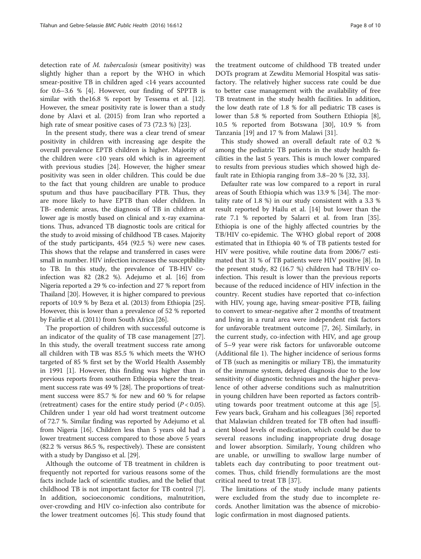detection rate of M. tuberculosis (smear positivity) was slightly higher than a report by the WHO in which smear-positive TB in children aged <14 years accounted for 0.6–3.6 % [\[4](#page-8-0)]. However, our finding of SPPTB is similar with the16.8 % report by Tessema et al. [\[12](#page-8-0)]. However, the smear positivity rate is lower than a study done by Alavi et al. (2015) from Iran who reported a high rate of smear positive cases of 73 (72.3 %) [\[23](#page-8-0)].

In the present study, there was a clear trend of smear positivity in children with increasing age despite the overall prevalence EPTB children is higher. Majority of the children were <10 years old which is in agreement with previous studies [[24\]](#page-8-0). However, the higher smear positivity was seen in older children. This could be due to the fact that young children are unable to produce sputum and thus have paucibacillary PTB. Thus, they are more likely to have EPTB than older children. In TB- endemic areas, the diagnosis of TB in children at lower age is mostly based on clinical and x-ray examinations. Thus, advanced TB diagnostic tools are critical for the study to avoid missing of childhood TB cases. Majority of the study participants, 454 (92.5 %) were new cases. This shows that the relapse and transferred in cases were small in number. HIV infection increases the susceptibility to TB. In this study, the prevalence of TB-HIV coinfection was 82 (28.2 %). Adejumo et al. [\[16\]](#page-8-0) from Nigeria reported a 29 % co-infection and 27 % report from Thailand [\[20](#page-8-0)]. However, it is higher compared to previous reports of 10.9 % by Beza et al. (2013) from Ethiopia [[25](#page-8-0)]. However, this is lower than a prevalence of 52 % reported by Fairlie et al. (2011) from South Africa [[26](#page-8-0)].

The proportion of children with successful outcome is an indicator of the quality of TB case management [\[27](#page-8-0)]. In this study, the overall treatment success rate among all children with TB was 85.5 % which meets the WHO targeted of 85 % first set by the World Health Assembly in 1991 [\[1](#page-8-0)]. However, this finding was higher than in previous reports from southern Ethiopia where the treatment success rate was 49 % [[28](#page-9-0)]. The proportions of treatment success were 85.7 % for new and 60 % for relapse (retreatment) cases for the entire study period  $(P < 0.05)$ . Children under 1 year old had worst treatment outcome of 72.7 %. Similar finding was reported by Adejumo et al. from Nigeria [\[16\]](#page-8-0). Children less than 5 years old had a lower treatment success compared to those above 5 years (82.2 % versus 86.5 %, respectively). These are consistent with a study by Dangisso et al. [\[29](#page-9-0)].

Although the outcome of TB treatment in children is frequently not reported for various reasons some of the facts include lack of scientific studies, and the belief that childhood TB is not important factor for TB control [\[7](#page-8-0)]. In addition, socioeconomic conditions, malnutrition, over-crowding and HIV co-infection also contribute for the lower treatment outcomes [[6](#page-8-0)]. This study found that

the treatment outcome of childhood TB treated under DOTs program at Zewditu Memorial Hospital was satisfactory. The relatively higher success rate could be due to better case management with the availability of free TB treatment in the study health facilities. In addition, the low death rate of 1.8 % for all pediatric TB cases is lower than 5.8 % reported from Southern Ethiopia [\[8](#page-8-0)], 10.5 % reported from Botswana [\[30](#page-9-0)], 10.9 % from Tanzania [\[19](#page-8-0)] and 17 % from Malawi [[31](#page-9-0)].

This study showed an overall default rate of 0.2 % among the pediatric TB patients in the study health facilities in the last 5 years. This is much lower compared to results from previous studies which showed high default rate in Ethiopia ranging from 3.8–20 % [[32](#page-9-0), [33](#page-9-0)].

Defaulter rate was low compared to a report in rural areas of South Ethiopia which was 13.9 % [\[34\]](#page-9-0). The mortality rate of 1.8 %) in our study consistent with a 3.3 % result reported by Hailu et al. [[14](#page-8-0)] but lower than the rate 7.1 % reported by Salarri et al. from Iran [\[35](#page-9-0)]. Ethiopia is one of the highly affected countries by the TB/HIV co-epidemic. The WHO global report of 2008 estimated that in Ethiopia 40 % of TB patients tested for HIV were positive, while routine data from 2006/7 estimated that 31 % of TB patients were HIV positive [[8\]](#page-8-0). In the present study, 82 (16.7 %) children had TB/HIV coinfection. This result is lower than the previous reports because of the reduced incidence of HIV infection in the country. Recent studies have reported that co-infection with HIV, young age, having smear-positive PTB, failing to convert to smear-negative after 2 months of treatment and living in a rural area were independent risk factors for unfavorable treatment outcome [[7](#page-8-0), [26](#page-8-0)]. Similarly, in the current study, co-infection with HIV, and age group of 5–9 year were risk factors for unfavorable outcome (Additional file [1](#page-8-0)). The higher incidence of serious forms of TB (such as meningitis or miliary TB), the immaturity of the immune system, delayed diagnosis due to the low sensitivity of diagnostic techniques and the higher prevalence of other adverse conditions such as malnutrition in young children have been reported as factors contributing towards poor treatment outcome at this age [\[5](#page-8-0)]. Few years back, Graham and his colleagues [[36\]](#page-9-0) reported that Malawian children treated for TB often had insufficient blood levels of medication, which could be due to several reasons including inappropriate drug dosage and lower absorption. Similarly, Young children who are unable, or unwilling to swallow large number of tablets each day contributing to poor treatment outcomes. Thus, child friendly formulations are the most critical need to treat TB [\[37](#page-9-0)].

The limitations of the study include many patients were excluded from the study due to incomplete records. Another limitation was the absence of microbiologic confirmation in most diagnosed patients.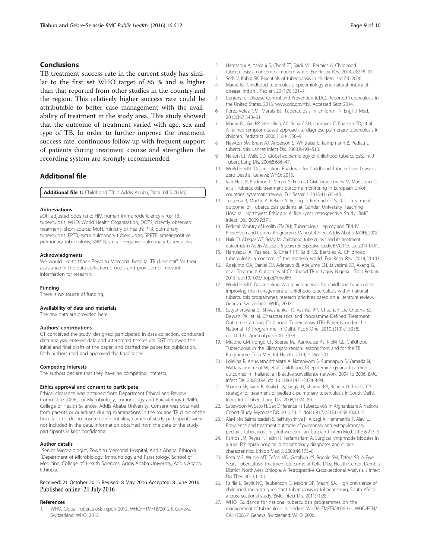## <span id="page-8-0"></span>Conclusions

TB treatment success rate in the current study has similar to the first set WHO target of 85 % and is higher than that reported from other studies in the country and the region. This relatively higher success rate could be attributable to better case management with the availability of treatment in the study area. This study showed that the outcome of treatment varied with age, sex and type of TB. In order to further improve the treatment success rate, continuous follow up with frequent support of patients during treatment course and strengthen the recording system are strongly recommended.

## Additional file

[Additional file 1:](dx.doi.org/10.1186/s12889-016-3193-8) Childhood TB in Addis Ababa, Data. (XLS 70 kb)

#### Abbreviations

aOR, adjusted odds ratio; HIV, human immunodeficiency virus; TB, tuberculosis; WHO, World Health Organization; DOTS, directly observed treatment- short course; MoH, ministry of health; PTB, pulmonary tuberculosis; EPTB, extra pulmonary tuberculosis; SPPTB, smear-positive pulmonary tuberculosis; SNPTB, smear-negative pulmonary tuberculosis

#### Acknowledgments

We would like to thank Zewditu Memorial hospital TB clinic staff for their assistance in the data collection process and provision of relevant information for research.

#### Funding

There is no source of funding.

#### Availability of data and materials

The raw data are provided here.

#### Authors' contributions

GT conceived the study, designed, participated in data collection, conducted data analysis, entered data and interpreted the results. SGT reviewed the initial and final drafts of the paper, and drafted the paper for publication. Both authors read and approved the final paper.

#### Competing interests

The authors declare that they have no competing interests.

#### Ethics approval and consent to participate

Ethical clearance was obtained from Department Ethical and Review Committee (DERC) of Microbiology, Immunology and Parasitology (DMIP), College of Health Sciences, Addis Ababa University. Consent was obtained from parents or guardians during examinations in the routine TB clinic of the hospital. In order to ensure confidentiality, names of study participants were not included in the data. Information obtained from the data of the study participants is kept confidential.

#### Author details

<sup>1</sup>Senior Microbiologist, Zewditu Memorial Hospital, Addis Ababa, Ethiopia. <sup>2</sup>Department of Microbiology, Immunology and Parasitology, School of Medicine, College of, Health Sciences, Addis Ababa University, Addis Ababa, Ethiopia.

Received: 21 October 2015 Revised: 8 May 2016 Accepted: 8 June 2016 Published online: 21 July 2016

#### References

1. WHO. Global Tuberculosis report 2012. WHO/HTM/TB/2012.6. Geneva, Switzerland: WHO; 2012.

- 2. Hamzaoui A, Yaaloui S, Cherif FT, Saidi ML, Berraies A. Childhood tuberculosis: a concern of modern world. Eur Respir Rev. 2014;23:278–91.
- 3. Seth V, Kabra SK. Essentials of tuberculosis in children. 3rd Ed. 2006. 4. Marais BJ. Childhood tuberculosis: epidemiology and natural history of
- disease. Indian J Pediatr. 2011;78:321–7. 5. Centers for Disease Control and Prevention (CDC). Reported Tuberculosis in the United States. 2013. [www.cdc.gov/tb/](http://www.cdc.gov/tb/). Accessed Sept 2014.
- 6. Perez-Velez CM, Marais BJ. Tuberculosis in children. N Engl J Med. 2012;367:348–61.
- 7. Marais BJ, Gie RP, Hesseling AC, Schaaf SH, Lombard C, Enarson ED, et al. A refined symptom-based approach to diagnose pulmonary tuberculosis in children. Pediatrics. 2006;118:e1350–9.
- 8. Newton SM, Brent AJ, Anderson S, Whittaker E, Kampmann B. Pediatric tuberculosis. Lancet Infect Dis. 2008;8:498–510.
- 9. Nelson LJ, Wells CD. Global epidemiology of childhood tuberculosis. Int J Tuberc Lung Dis. 2004;8:636–47.
- 10. World Health Organization. Roadmap for Childhood Tuberculosis: Towards Zero Deaths. Geneva: WHO; 2013.
- 11. Van Hest R, Kodmon C, Verver S, Erkens CGM, Straetemans M, Manissero D, et al. Tuberculosis treatment outcome monitoring in European Union countries: systematic review. Eur Respir J. 2013;41:635–43.
- 12. Tessema B, Muche A, Bekele A, Resing D, Emmrich F, Sack U. Treatment outcome of Tuberculosis patients at Gondar University Teaching Hospital, Northwest Ethiopia: A five -year retrospective Study. BMC Infect Dis. 2009;9:371.
- 13. Federal Ministry of Health (FMOH). Tuberculosis, Leprosy and TB/HIV Prevention and Control Programme Manual. 4th ed. Addis Ababa: MOH; 2008.
- 14. Hailu D, Abegaz WE, Belay M. Childhood tuberculosis and its treatment outcomes in Addis Ababa: a 5-years retrospective study. BMC Pediatr. 2014;14:61.
- 15. Hamzaoui A, Yaalaoui S, Cherif FT, Saidi LS, Berraies A. Childhood tuberculosis: a concern of the modern world. Eur Resp Rev. 2014;23:133.
- 16. Adejumo OA, Daniel OJ, Adebayo BI, Adejumo EN, Jaiyesimi EO, Akang G, et al. Treatment Outcomes of Childhood TB in Lagos. Nigeria J Trop Pediatr. 2015. doi[:10.1093/tropej/fmv089](http://dx.doi.org/10.1093/tropej/fmv089).
- 17. World Health Organization. A research agenda for childhood tuberculosis: improving the management of childhood tuberculosis within national tuberculosis programmes: research priorities based on a literature review. Geneva, Switzerland: WHO; 2007.
- 18. Satyanarayana S, Shivashankar R, Vashist RP, Chauhan LS, Chadha SS, Dewan PK, et al. Characteristics and Programme-Defined Treatment Outcomes among Childhood Tuberculosis (TB) Patients under the National TB Programme in Delhi. PLoS One. 2010;5(10):e13338. doi[:10.1371/journal.pone.0013338.](http://dx.doi.org/10.1371/journal.pone.0013338)
- 19. Mtabho CM, Irongo CF, Boeree MJ, Aarnoutse RE, Kibiki GS. Childhood Tuberculosis in the Kilimanjaro region: lessons from and for the TB Programme. Trop Med Int Health. 2010;15:496–501.
- 20. Lolekha R, Anuwatnonthakate A, Nateniyom S, Sumnapun S, Yamada N, Wattanaamornkiat W, et al. Childhood TB epidemiology and treatment outcomes in Thailand: a TB active surveillance network, 2004 to 2006. BMC Infect Dis. 2008;8:94. doi:[10.1186/1471-2334-8-94](http://dx.doi.org/10.1186/1471-2334-8-94).
- 21. Sharma SR, Sarin R, Khalid UK, Singla N, Sharma PP, Behera D. The DOTS strategy for treatment of pediatric pulmonary tuberculosis in South Delhi, India. Int J Tuberc Lung Dis. 2008;11:74–80.
- 22. Sabawoon W, Sato H. Sex Difference in Tuberculosis in Afghanistan: A National Cohort Study. Mycobac Dis. 2012;2:115. doi[:10.4172/2161-1068.1000115.](http://dx.doi.org/10.4172/2161-1068.1000115)
- 23. Alavi SM, Salmanzadeh S, Bakhtiyariniya P, Albagi A, Hemmatnia F, Alavi L. Prevalence and treatment outcome of pulmonary and extrapulmonary pediatric tuberculosis in southwestern Iran. Caspian J Intern Med. 2015;6:213–9.
- 24. Ramos JM, Reyes F, Facin R, Tesfamariam A. Surgical lymphnode biopsies in a rural Ethiopian hospital: histopathology diagnoses and clinical characteristics. Ethiop Med J. 2008;46:173–8.
- 25. Beza MG, Wubie MT, Teferi MD, Getahun YS, Bogale SM, Tefera SB. A Five Years Tuberculosis Treatment Outcome at Kolla Diba Health Center, Dembia District, Northwest Ethiopia: A Retrospective Cross-sectional Analysis. J Infect Dis Ther. 2013;1:101.
- 26. Fairlie L, Beylis NC, Reubenson G, Moore DP, Madhi SA. High prevalence of childhood multi-drug resistant tuberculosis in Johannesburg, South Africa: a cross sectional study. BMC Infect Dis. 2011;11:28.
- 27. WHO. Guidance for national tuberculosis programmes on the management of tuberculosis in children. WHO/HTM/TB/2006.371, WHO/FCH/ CAH/2006.7. Geneva, Switzerland: WHO; 2006.